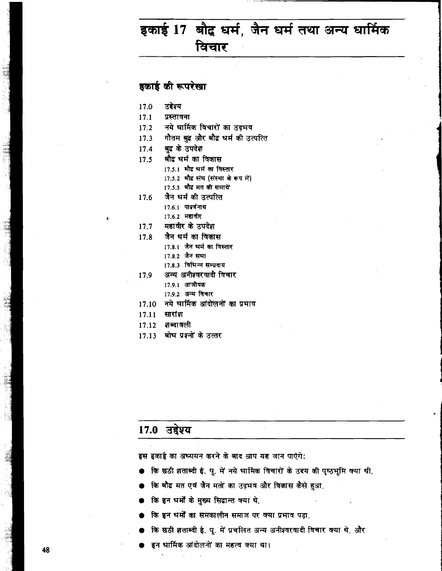# इकाई 17 बौद्ध धर्म, जैन धर्म तथा अन्य धार्मिक विचार

## इकाई की रूपरेखा

- उडेश्य  $17.0$
- $17.1$ प्रस्तावना
- नये धार्मिक विचारों का उदमव  $17.2$
- गौतम बुद्र और बौद्र धर्म की उत्पत्ति  $17.3$
- बुद्र के उपदेश  $17.4$
- बौद्र धर्म का विकास  $17.5$ 17.5.1 औद्र धर्म का विस्तार 17.5.2 औद संघ (संस्था के रूप में)
	- 17.5.3 औद्र मत की सभायें
- जैन धर्म की उत्पत्ति 17.6
	- 17.6.1 पार्श्वनाथ
	- 17.6.2 महावीर
- $17.7$ महावीर के उपदेश
- जैन धर्म का विकास  $17.8$ 
	- 17.8.1 जैन धर्म का विस्तार
		- 17.8.2 जैन समा
	- 17.8.3 विभिन्न सम्प्रदाय
- 17.9 अन्य अनीश्वरवादी विचार 17.9.1 आजीवक
	- 17.9.2 अन्य विचार
- नये धार्मिक अदिलिनों का प्रभाव 17.10
- 17.11 सारांश
- 17.12 शब्दावली
- 17.13 बोघ प्रश्नों के उत्तर

## 17.0 उद्देश्य

इस इकाई का अध्ययन करने के बाद आप यह जान पाएंगे:

- कि छठी शताब्दी ई. पू. में नये धार्मिक विचारों के उदय की पृष्ठभूमि क्या थी,
- कि बौद्र मत एवं जैन मतों का उदमव और विकास कैसे हुआ,
- कि इन धर्मों के मुख्य सिद्धान्त क्या थे,
- कि इन धर्मों का समकालीन समाज पर क्या प्रभाव पड़ा,
- कि छठी शताब्दी ई. पू. में प्रचलित अन्य अनीश्वरवादी विचार क्या थे, और
- इन धार्मिक आंदोलनों का महत्व क्या था।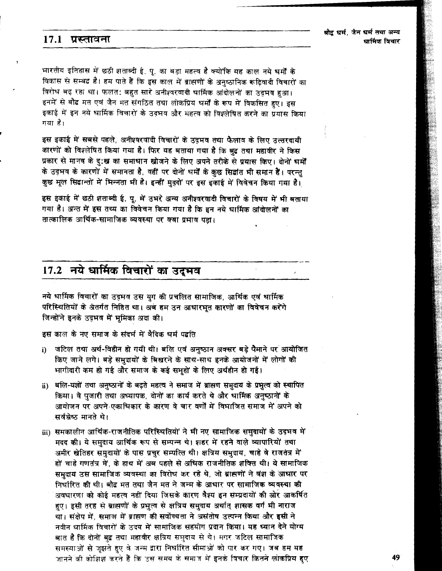#### $17.1$ प्रस्तावना

बोद्व धर्म, जैन धर्म तथा अन्य धार्मिक विचार

भारतीय इतिहास में छठी शताब्दी ई. पू. का बड़ा महत्व है क्योंकि यह काल नये धर्मों के विकास से सम्बद्ध है। हम पाते हैं कि इस काल में ब्राह्मणों के अनुष्ठानिक रूढ़िवादी विचारों का विरोध बढ़ रहा था। फलत: बहुत सारे अनीश्वरवादी धार्मिक आंदोलनों का उदमव हुआ। इनमें से बौद मत एवं जैन मत संगठित तथा लोकप्रिय धर्मों के रूप में विकसित हुए। इस इकाई में इन नये धार्मिक विचारों के उदमव और महत्व को विश्लेषित करने का प्रयास किया गया है।

इस इकाई में सबसे पहले, अनीश्वरवादी विचारों के उदमव तथा फैलाव के लिए उत्तरदायी कारणों को विश्लेषित किया गया है। फिर यह बताया गया है कि बुद्ध तथा महावीर ने किस प्रकार से मानव के दु:ख का समाधान खोजने के लिए अपने तरीके से प्रयास किए। दोनों धर्मों के उदमव के कारणों में समानता है, वहीं पर दोनों धर्मों के कुछ सिद्धांत भी समान हैं। परन्तु कुछ मूल सिद्वान्तों में भिन्नता भी है। इन्हीं मुदुवों पर इस इकाई में विवेचन किया गया है।

इस इकाई में छठी शताब्दी ई. पू. में उभरे अन्य अनीश्वरवादी विचारों के विषय में भी बताया गया है। अन्त में इस तथ्य का विवेचन किया गया है कि इन नये धार्मिक आंदोलनों का तात्कालिक आर्थिक-सामाजिक व्यवस्था पर क्या प्रभाव पद्य।

## 17.2 नये धार्मिक विचारों का उदमव

नये धार्मिक विचारों का उदमव उस युग की प्रचलित सामाजिक, आर्थिक एवं धार्मिक परिस्थितियों के अंतर्गत निहित था। अब हम उन आधारभूत कारणों का विवेचन करेंगे जिन्होंने इनके उदमव में भूमिका अदा की।

इस काल के नए समाज के संदर्भ में वैदिक धर्म पद्धति

- जटिल तथा अर्थ-विहीन हो गयी थी। बलि एवं अनुष्ठान अक्सर बड़े पैमाने पर आयोजित  $\ddot{i}$ किए जाने लगे। बड़े समुदायों के बिखरने के साथ-साथ इनके आयोजनों में लोगों की भागीदारी कम हो गई और समाज के कई समूहों के लिए अर्थहीन हो गई।
- ii) बलि-यज्ञों तथा अनुष्ठानों के बढते महत्व ने समाज में ब्राह्मण समुदाय के प्रभुत्व को स्थापित किया। वे पंजारी तथा अध्यापक, दोनों का कार्य करते थे और धार्मिक अनुष्ठानों के आयोजन पर अपने एकाधिकार के कारण वे चार वर्णों में विभाजित समाज में अपने को सर्वश्रेष्ठ मानते थे।
- iii) समकालीन आर्थिक-राजनीतिक परिस्थितियों ने भी नए सामाजिक समुदायों के उदमव में मदद की। ये समदाय आर्थिक रूप से सम्पन्न थे। शहर में रहने वाले व्यापारियों तथा अमीर खेतिहर समुदायों के पास प्रचुर सम्पत्ति थी। क्षत्रिय समुदाय, चाहे वे राजतंत्र में हों चाहे गणतंत्र में, के हाथ में अब पहले से अधिक राजनीतिक शक्ति थी। ये सामाजिक समुदाय उस सामाजिक व्यवस्था का विरोध कर रहे थे, जो ब्राह्मणों ने वंश के आधार पर निर्धारित की थी। बौद्ध मत तथा जैन मत ने जन्म के आधार पर सामाजिक व्यवस्था की अवधारणा को कोई महत्व नहीं दिया जिसके कारण वैश्य इन सम्प्रदायों की ओर आकर्षित हुए। इसी तरह से ब्राह्मणों के प्रभुत्व से क्षत्रिय समुदाय अर्थात् शासक वर्ग भी नाराज था। संक्षेप में, समाज में ब्राह्मण की सर्वोच्चता ने असंतोष उत्पन्न किया और इसी ने नवीन धार्मिक विचारों के उदय में सामाजिक सहयोग प्रदान किया। यह ध्यान देने योग्य बात है कि दोनों बुद्ध तथा महावीर क्षत्रिय समुदाय से थे। मगर जटिल सामाजिक समस्याओं से जुझते हुए वे जन्म द्वारा निर्धारित सीमाओं को पार कर गए। जब हम यह जानने की कोशिश करते हैं कि उस समय के समाज में इनके विचार कितने लोकप्रिय हुए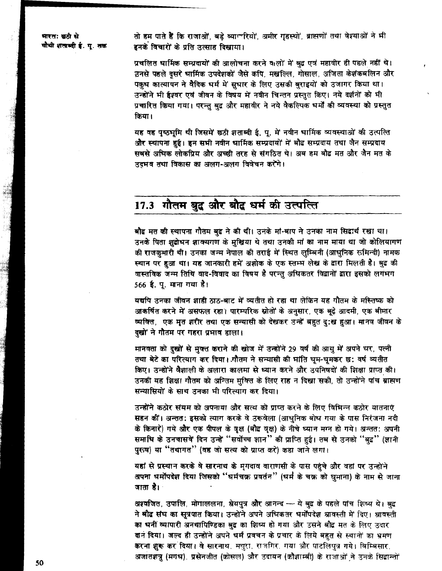मारत: छठी से चौथी शताब्दी ई. प. तक तो हम पाते हैं कि राजाओं. बड़े व्याग्गरियों. अमीर गृहस्थों. ब्राह्मणों तथा वेश्याओं ने भी इनके विचारों के प्रति उत्साह दिखाया।

प्रचलित धार्मिक सम्प्रदायों की आलोचना करने वालों में बुद्र एवं महावीर ही पहले नहीं थे। इनसे पहले दूसरे धार्मिक उपदेशकों जैसे कपि, मखल्लि, गोसाल, अजिता केशंकबलिन और पकुघ कात्यापन ने वैदिक धर्म में सुधार के लिए उसकी बुराइयों को उजागर किया था। उन्होंने भी ईश्वर एवं जीवन के विषय में नवीन चिन्तन प्रस्तुत किए। नये दर्शनों को भी प्रचारित किया गया। परन्तु बुद्ध और महावीर ने नये वैकल्पिक धर्मों की व्यवस्था को प्रस्तुत किया।

यह वह पृष्ठभूमि थी जिसमें छठी शताब्दी ई. पू. में नवीन धार्मिक व्यवस्थाओं की उत्पत्ति और स्थापना हुई। इन सभी नवीन धार्मिक सम्प्रदायों में बौद्ध सम्प्रदाय तथा जैन सम्प्रदाय सबसे अधिक लोकप्रिय और अच्छी तरह से संगठित थे। अब हम बौद मत और जैन मत के उदमव तथा विकास का अलग-अलग विवेचन करेंगे।

## 17.3 गौतम बुद्ध और बौद्ध धर्म की उत्पत्ति

बौद मत की स्थापना गौतम बुद्द ने की थी। उनके मां-बाप ने उनका नाम सिदार्थ रखा था। उनके पिता शुद्रोधन शाक्यगण के मुखिया थे तथा उनकी मां का नाम माया था जो कोलियागण की राजकुमारी थी। उनका जन्म नेपाल की तराई में स्थित लुम्बिनी (आधुनिक रुमिन्दी) नामक स्थान पर हुआ था। यह जानकारी हमें अशोक के एक स्तम्भ लेख के द्वारा मिलती है। बुद्ध की वास्तविक जन्म तिथि वाद-विवाद का विषय है परन्तु अधिकतर विद्वानों द्वारा इसको लगभग 566 ई. पू. माना गया है।

यद्यपि उनका जीवन शाही ठाठ-बाट में व्यतीत हो रहा था लेकिन यह गौतम के मस्तिष्क को आकर्षित करने में असफल रहा। पारम्परिक स्रोतों के अनुसार, एक बूढ़े आदमी, एक बीमार व्यक्ति, एक मृत शरीर तथा एक सन्यासी को देखकर उन्हें बहुत दु:ख हुआ। मानव जीवन के दुखों ने गौतम पर गहरा प्रमाव डाला।

मानवता को दुखों से मुक्त कराने की खोज में उन्होंने 29 वर्ष की आयु में अपने घर, पत्नी तथा बेटे का परित्याग कर दिया। गौतम ने सन्यासी की भांति घूम-घूमकर छ: वर्ष व्यतीत किए। उन्होंने वैशाली के अलारा कालमा से ध्यान करने और उपनिषदों की शिक्षा प्राप्त की। उनकी यह शिक्षा गौतम को अन्तिम मुक्ति के लिए राह न दिखा सकी, तो उन्होंने पांच ब्राह्मण सन्यासियों के साथ उनका भी परित्याग कर दिया।

उन्होंने कठोर संयम को अपनाया और सत्य को प्राप्त करने के लिए विभिन्न कठोर यातनाएं सहन कीं। अन्तत: इसको त्याग करके वे उरूवेला (आधुनिक बोध गया के पास निरंजना नदी के किनारे) गये और एक पीपल के वृक्ष (बौद्ध वृक्ष) के नीचे ध्यान मग्न हो गये। अन्तत: अपनी समाधि के उनचासवें दिन उन्हें "सर्वोच्च ज्ञान" की प्राप्ति हुई। तब से उनको "बुद" (ज्ञानी पुरुष) या "तथागत" (वह जो सत्य को प्राप्त करे) कहा जाने लगा।

यहां से प्रस्थान करके वे सारनाथ के मृगदाव वाराणसी के पास पहुंचे और वहां पर उन्होंने अपना धर्मोपदेश दिया जिसको "धर्मचक्र प्रवर्तन" (धर्म के चक्र को धुमाना) के नाम से जाना जाता है।

अश्वजित, उपालि, मोगाललना, श्रेयपुत्र और आनन्द - ये बुद्र के पहले पांच शिष्य थे। बुद्ध ने बौद संघ का सूत्रपात किया। उन्होंने अपने अधिकतर धर्मोंपदेश श्रावस्ती में दिए। श्रावस्ती का धनीं व्यापारी अनथापिण्डिका बुद्द का शिष्य हो गया और उसने बौद्ध मत के लिए उदार बान दिया। जल्द ही उन्होंने अपने घर्म प्रवचन के प्रचार के लिये बहुत से स्थानों का भ्रमण करना शुरू कर दिया। वे सारनाथ, मथुरा, राजगिर, गया और पाटलिपुत्र गये। बिम्बिसार, अजातशत्रु (मगध). प्रसेनजीत (कोसल) और उदायन (कौशाम्बी) के राजाओं ने उनके सिद्धान्तों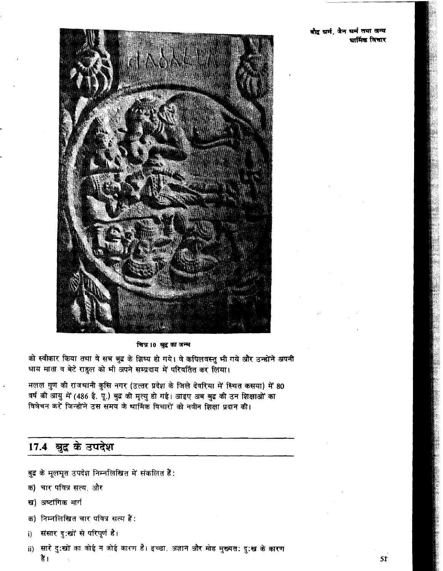

चित्र 10 खुद्द का जन्म

को स्वीकार किया तथा वे सत्र बुद्ध के शिष्य हो गये। वे कपिलवस्तु भी गये और उन्होंने अपनी धाय माता व बेटे राहुल को भी अपने सम्प्रदाय में परिवर्तित कर लिया।

मलल गुण की राजधानी कुसि नगर (उत्तर प्रदेश के जिले देवरिया में स्थित कसया) में 80 वर्ष की आयु में (486 ई. पू.) बुद्ध की मृत्यु हो गई। आइए अब बुद्ध की उन शिक्षाओं का .<br>विवेचन करें जिन्होंने उस समय के धार्मिक विचारों को नवीन शिक्षा प्रदान की।

## 17.4 बुद्ध के उपदेश

- बुद्ध के मूलभूत उपदेश निम्नलिखित में संकलित हैं:
- क) चार पवित्र सत्य, और
- ख) अष्टांगिक मार्ग
- क) निम्नलिखित चार पवित्र सत्य हैं:
- संसार दु:खों से परिपूर्ण है।  $i)$
- ii) सारे दु:खों का कोई न कोई कारण है। इच्छा, अज्ञान और मोह मुख्यत: दु:ख के कारण हैं।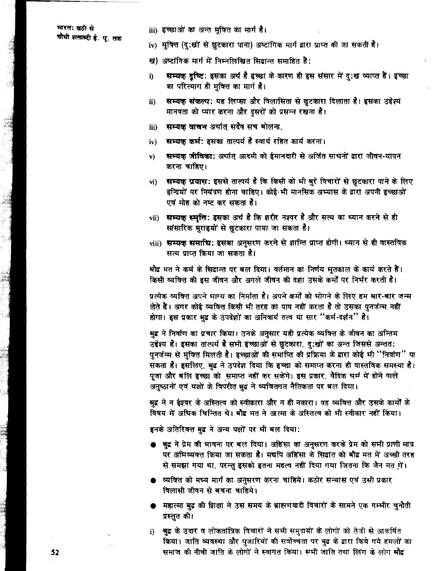- iii) इच्छाओं का अन्त मुक्ति का मार्ग है।
- iv) मुक्ति (दु:खों से छुटकारा पाना) अष्टांगिक मार्ग द्वारा प्राप्त की जा सकती है।
- ख) अष्टांगिक मार्ग में निम्नलिखित सिद्धान्त समाहित है:
- सम्यक् दृष्टि: इसका अर्थ है इच्छा के कारण ही इस संसार में दु:ख व्याप्त हैं। इच्छा i) का परित्याग ही मुक्ति का मार्ग है।
- सम्यक् संकल्प: यह लिप्सा और विलासिता से छुटकारा दिलाता है। इसका उद्देश्य  $\mathbf{ii}$ मानवता को प्यार करना और दुसरों को प्रसन्न रखना है।
- सम्यक वाचन अर्थात सदैव सच बोलना. iii)
- सम्यक कर्म: इसका तात्पर्य है स्वार्थ रहित कार्य करना।  $iv)$
- सम्यक् जीविका: अर्थात् आदमी को ईमानदारी से अर्जित साधनों द्वारा जीवन-यापन  $\mathbf{v}$ करना चाहिए।
- सम्यक् प्रयास: इससे तात्पर्य है कि किसी को भी बुरे विचारों से छुटकारा पाने के लिए  $\mathbf{vi}$ इन्द्रियों पर नियंत्रण होना चाहिए। कोई भी मानसिक अभ्यास के द्वारा अपनी इच्छाओं एवं मोह को नष्ट कर सकता है।
- vii) सम्यक् स्मृति: इसका अर्थ है कि शरीर नश्वर है और सत्य का ध्यान करने से ही सांसारिक बुराइयों से छुटकारा पाया जा सकता है।
- viii) सम्यक समाधि: इसका अनुसरण करने से शान्ति प्राप्त होगी। ध्यान से ही वास्तविक सत्य प्राप्त किया जा सकता है।

बौद मत ने कर्म के सिद्दान्त पर बल दिया। वर्तमान का निर्णय भूतकाल के कार्य करते हैं। किसी व्यक्ति की इस जीवन और अगले जीवन की दशा उसके कर्मों पर निर्भर करती है।

प्रत्येक व्यक्ति अपने भाग्य का निर्माता है। अपने कर्मों को भोगने के लिए हम बार-बार जन्म लेते हैं। अगर कोई व्यक्ति किसी भी तरह का पाप नहीं करता है तो उसका पुनर्जन्म नहीं होगा। इस प्रकार बुद्ध के उपदेशों का अनिवार्य तत्व या सार "कर्म-दर्शन" है।

बुद ने निर्वाण का प्रचार किया। उनके अनुसार यही प्रत्येक व्यक्ति के जीवन का अन्तिम उद्देश्य है। इसका तात्पर्य है सभी इच्छाओं से छूटकारा, दु:खों का अन्त जिससे अन्तत: पुनर्जन्म से मुक्ति मिलती है। इच्छाओं की समाप्ति की प्रक्रिया के द्वारा कोई भी "निर्वाण" पा .<br>सकता है। इसलिए, बुद्ध ने उपदेश दिया कि इच्छा को समाप्त करना ही वास्तविक समस्या है। .<br>पूजा और बलि इच्छा को समाप्त नहीं कर सकेंगे। इस प्रकार, वैदिक धर्म में होने वाले अनुष्ठानों एवं यज्ञों के विपरीत बुद्ध ने व्यक्तिगत नैतिकता पर बल दिया।

बुद्ध ने न ईश्वर के अस्तित्व को स्वीकारा और न ही नकारा। वह व्यक्ति और उसके कार्यों के विषय में अधिक चिन्तित थे। बौद्द मत ने आत्मा के अस्तित्व को भी स्वीकार नहीं किया।

इनके अतिरिक्त बुद्ध ने अन्य पक्षों पर भी बल दिया:

- बुद्ध ने प्रेम की भावना पर बल दिया। अहिंसा का अनुसरण करके प्रेम को सभी प्राणी मात्र पर अभिव्यक्त किया जा सकता है। यद्यपि अहिंसा के सिद्धांत को बौद मत में अच्छी तरह से समझा गया था, परन्तु इसको इतना महत्व नहीं दिया गया जितना कि जैन मत में।
- व्यक्ति को मध्य मार्ग का अनुसरण करना चाहिये। कठोर सन्यास एवं उसी प्रकार विलासी जीवन से बचना चाहिये।
- महात्मा बुद्ध की शिक्षा ने उस समय के ब्राह्मणवादी विचारों के सामने एक गम्भीर चुनौती प्रस्तुत की।
- i) बुद्ध के उदार व लोकतांत्रिक विचारों ने सभी समुदायों के लोगों को तेजी से आकर्षित किया। जाति व्यवस्था और पुजारियों की सर्वोच्चता पर बुद्ध के द्वारा किये गये हमलों का समाज की नीची जाति के लोगों ने स्वागत किया। सभी जाति तथा लिंग के लोग बौद्ध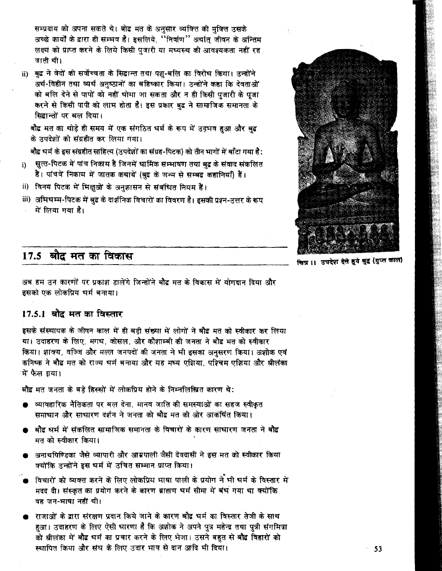सम्प्रदाय को अपना सकते थे। बोद मत के अनुसार व्यक्ति की मुक्ति उसके अच्छे कार्यों के द्वारा ही सम्भव है। इसलिये, "निर्वाण" अर्थात जीवन के अन्तिम लक्ष्य को प्राप्त करने के लिये किसी पंजारी या मध्यस्थ की आवश्यकता नहीं रह जाती थी।

ii) बुद्ध ने वेदों की सर्वोच्चता के सिद्धान्त तथा पशु-बलि का विरोध किया। उन्होंने अर्थ-विहीन तथा व्यर्थ अनुष्ठानों का बहिष्कार किया। उन्होंने कहा कि देवताओं को बलि देने से पापों को नहीं धोया जा सकता और न ही किसी पंजारी के पूजा करने से किसी पापी को लाभ होता है। इस प्रकार बद्र ने सामाजिक समानता के सिद्धान्तों पर बल दिया।

बौद्ध मत का थोड़े ही समय में एक संगठित धर्म के रूप में उदमव हुआ और बद्ध के उपदेशों को संग्रहीत कर लिया गया।

बौद्ध घर्म के इस संग्रहीत साहित्य (उपदेशों का संग्रह-पिटक) को तीन भागों में बाँटा गया है:

- सूत्त-पिटक में पांच निकाय हैं जिनमें धार्मिक सम्भाषण तथा बुद्ध के संवाद संकलित  $i$ हैं। पांचवें निकाय में जातक कथायें (बुद्र के जन्म से सम्बद्र कहानियाँ) हैं।
- ii) विनय पिटक में भिक्षुओं के अनुशासन से संबंधित नियम हैं।
- iii) अभिधम्म-पिटक में बुद्ध के दार्शनिक विचारों का विवरण है। इसकी प्रश्न-उत्तर के रूप में लिया गया है।



चित्र 11 उपदेश देते हुये बुद (गुप्त काल)

#### बौद्ध मत का विकास  $17.5$

अब हम उन कारणों पर प्रकाश हालेंगे जिन्होंने बौद मत के विकास में योगदान दिया और इसको एक लोकप्रिय धर्म बनाया।

#### 17.5.1 बौद मत का विस्तार

इसके संस्थापक के जीवन काल में ही बड़ी संख्या में लोगों ने बौद मत को स्वीकार कर लिया था। उदाहरण के लिए, मगध, कोसल, और कौशाम्बी की जनता ने बौद्ध मत को स्वीकार किया। शाक्य, वज्जि और मल्ल जनपदों की जनता ने भी इसका अनसरण किया। अशोक एवं कनिष्क ने बौद्व मत को राज्य धर्म बनाया और यह मध्य एशिया. पश्चिम एशिया और श्रीलंका 'में' फैल गया।

बौद्ध मत जनता के बड़े हिस्सों में लोकप्रिय होने के निम्नलिखित कारण थे:

- व्यावहारिक नैतिकता पर बल देना. मानव जाति की समस्याओं का सहज स्वीकृत समाधान और साधारण दर्शन ने जनता को बौद मत की ओर आकंषित किया।
- बौद धर्म में संकलित सामाजिक समानता के विचारों के कारण साधारण जनता ने बौद मत को स्वीकार किया।
- अनाथपिण्डिका जैसे व्यापारी और आम्रपाली जैसी देवदासी ने इस मत को स्वीकार किया क्योंकि उन्होंने इस धर्म में उचित सम्मान प्राप्त किया।
- विचारों को व्यक्त करने के लिए लोकप्रिय भाषा पाली के प्रयोग ने भी धर्म के विस्तार में मदद दी। संस्कृत का प्रयोग करने के कारण ब्राह्मण धर्म सीमा में बंध गया था क्योंकि वह जन-भाषा नहीं थी।
- राजाओं के द्वारा संरक्षण प्रदान किये जाने के कारण बौद्ध धर्म का विस्तार तेजी के साथ हुआ। उदाहरण के लिए ऐसी धारणा है कि अशोक ने अपने पुत्र महेन्द्र तथा पुत्री संगमित्रा को श्रीलंका में बौद घर्म का प्रचार करने के लिए भेजा। उसने बहुत से बौद विहारों को स्थापित किया और संघ के लिए उदार भाव से दान आदि भी दिया।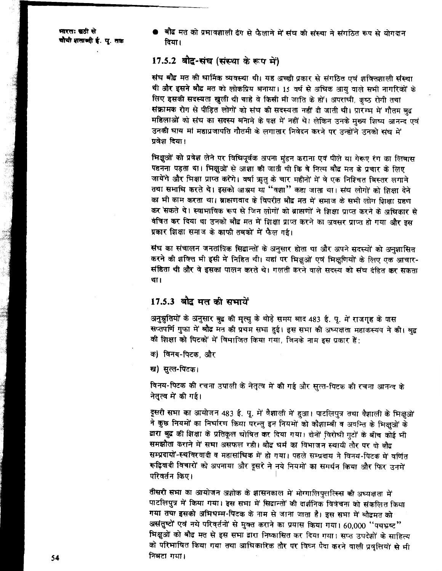● बौद मत को प्रभावशाली ढंग से फैलाने में संघ की संस्था ने संगठित रूप से योगदान दिया।

## 17.5.2 बौद्ध-संघ (संस्था के रूप में)

संघ बौद्ध मत की धार्मिक व्यवस्था थी। यह अच्छी प्रकार से संगठित एवं शक्तिशाली संस्था थी और इसने बौद मत को लोकप्रिय बनाया। 15 वर्ष से अधिक आयु वाले सभी नागरिकों के लिए इसकी सदस्यता खुली थी चाहे वे किसी भी जाति के हों। अपराधी, कुष्ठ रोगी तथा संक्रामक रोग से पीड़ित लोगों को संघ की सदस्यता नहीं दी जाती थी। प्रारम्भ में गौतम बढ़ महिलाओं को संघ का सदस्य बनाने के पक्ष में नहीं थे। लेकिन उनके मुख्य शिष्य आनन्द एवं उनकी घाय मां महाप्रजापति गौतमी के लगातार निवेदन करने पर उन्होंने उनको संघ में प्रवेश दिया।

भिक्षुओं को प्रवेश लेने पर विधिपूर्वक अपना मुंडन कराना एवं पीले या गेरूए रंग का लिबास पहनना पड़ता था। भिक्षुओं से आशा की जाती थी कि वे नित्य बौद मत के प्रचार के लिए जायेंगे और भिक्षा प्राप्त करेंगे। वर्षा ऋतू के चार महीनों में वे एक निश्चित बिस्तर लगाने तथा समाधि करते थे। इसको आश्रय या "वशा" कहा जाता था। संघ लोगों को शिक्षा देने का भी काम करता था। ब्राह्मणवाद के विपरीत बौद्ध मत में समाज के सभी लोग शिक्षा ग्रहण कर सकते थे। स्वामाविक रूप से जिन लोगों को ब्राह्मणों ने शिक्षा प्राप्त करने के अधिकार से वंचित कर दिया था उनको बौद मत में शिक्षा प्राप्त करने का अवसर प्राप्त हो गया और इस प्रकार शिक्षा समाज के काफी तबकों में फैल गई।

संघ का संचालन जनतांत्रिक सिद्धान्तों के अनुसार होता था और अपने सदस्यों को अनुशासित करने की शक्ति भी इसी में निहित थी। यहां पर भिक्षुओं एवं भिक्षुणियों के लिए एक आचार-संहिता थी और वे इसका पालन करते थे। गलती करने वाले सदस्य को संघ दंडित कर सकता था।

#### 17.5.3 बौद मत की सभायें

अनुश्रुतियों के अनुसार बुद्ध की मृत्यु के थोड़े समय बाद 483 ई. पू. में राजगृह के पास सप्तपर्णि गुफा में बौद मत की प्रथम सभा हुई। इस सभा की अध्यक्षता महाकस्यप ने की। बुद्ध की शिक्षा को पिटकों में विभाजित किया गया. जिनके नाम इस प्रकार हैं:

- क) विनय-पिटक, और
- ख) सुत्त-पिटक।

विनय-पिटक की रचना उपाली के नेतृत्व में की गई और सूत्त-पिटक की रचना आनन्द के नेतृत्व में की गई।

दूसरी सभा का आयोजन 483 ई. पू. में वैशाली में हुआ। पाटलिपुत्र तथा वैशाली के भिक्षुओं ने कुछ नियमों का निर्धारण किया परन्तु इन नियमों को कौशाम्बी व अवन्ति के भिक्षओं के द्वारा बुद्ध की शिक्षा के प्रतिकूल घोषित कर दिया गया। दोनों विरोधी गुटों के बीच कोई भी समझौता कराने में सभा असफल रही। बौद धर्म का विभाजन स्थायी तौर पर दो बौद सम्प्रदायों-स्थविरवादी व महासांधिक में हो गया। पहले सम्प्रदाय ने विनय-पिटक में वर्णित रूढ़िवादी विचारों को अपनाया और दूसरे ने नये नियमों का समर्थन किया और फिर उनमें परिवर्तन किए।

तीसरी सभा का आयोजन अशोक के शासनकाल में मोग्गालिपुर्तात्स्स की अध्यक्षता में पाटलिपुत्र में किया गया। इस सभा में सिद्धान्तों की दार्शनिक विवेचना को संकलित किया गया तथा इसको अभिधम्म-पिटक के नाम से जाना जाता है। इस सभा में बौद्वमत को असंतुष्टों एवं नये परिवर्तनों से मुक्त कराने का प्रयास किया गया। 60,000 "पथभ्रष्ट" भिक्षुओं को बौद मत से इस सभा द्वारा निष्कासित कर दिया गया। सप्त उपदेशों के साहित्य को परिभाषित किया गया तथा आधिकारिक तौर पर विघ्न पैदा करने वाली प्रवृत्तियों से भी निबटा गया।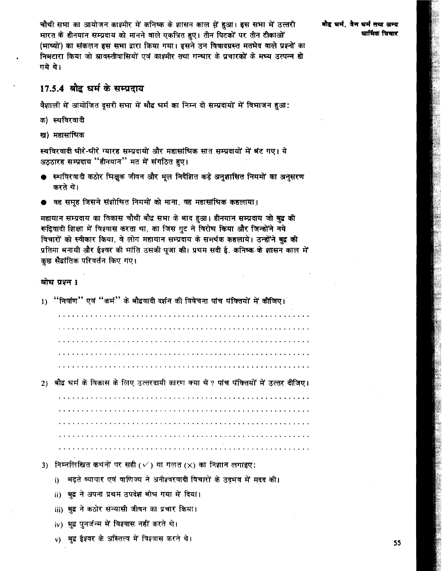चौथी सभा का आयोजन काश्मीर में कनिष्क के शासन काल में हुआ। इस सभा में उत्तरी भारत के हीनयान सम्प्रदाय को मानने वाले एकत्रित हुए। तीन पिटकों पर तीन टीकाओं (भाष्यों) का संकलन इस सभा द्वारा किया गया। इसने उन विवादग्रस्त मतभेद वाले प्रश्नों का निबटारा किया जो श्रावस्तीवासियों एवं काश्मीर तथा गन्धार के प्रचारकों के मध्य उत्पन्न हो गये थे।

17.5.4 बौद्ध धर्म के सम्प्रदाय

वैशाली में आयोजित दूसरी सभा में बौद धर्म का निम्न दो सम्प्रदायों में विभाजन हुआ:

- क) स्थविरवादी
- ख) महासांधिक

स्थविरवादी धीरे-धीरे ग्यारह सम्प्रदायों और महासांधिक सात सम्प्रदायों में बंट गए। ये अठ्ठारह सम्प्रदाय "हीनयान" मत में संगठित हुए।

- स्थविरवादी कठोर भिक्षुक जीवन और मूल निर्देशित कड़े अनुशासित नियमों का अनुसरण करते थे।
- वह समूह जिसने संशोधित नियमों को माना, वह महासांधिक कहलाया।

महायान सम्प्रदाय का विकास चौथी बौद्ध सभा के बाद हुआ। हीनयान सम्प्रदाय जो बुद्ध की रूढ़िवादी शिक्षा में विश्वास करता था, का जिस गुट ने विरोध किया और जिन्होंने नये विचारों को स्वीकार किया, वे लोग महायान सम्प्रदाय के समर्थक कहलाये। उन्होंने बुद्ध की प्रतिमा बनायी और ईश्वर की भांति उसकी पूजा की। प्रथम सदी ई. कनिष्क के शासन काल में कुछ सैद्रांतिक परिवर्तन किए गए।

#### बोध प्रश्न 1

| 1) "निर्वाण" एवं "कर्म" के बौद्धवादी दर्शन की विवेचना पांच पंक्तियों में कीजिए।      |  |  |  |  |  |  |  |  |  |  |
|--------------------------------------------------------------------------------------|--|--|--|--|--|--|--|--|--|--|
|                                                                                      |  |  |  |  |  |  |  |  |  |  |
|                                                                                      |  |  |  |  |  |  |  |  |  |  |
|                                                                                      |  |  |  |  |  |  |  |  |  |  |
|                                                                                      |  |  |  |  |  |  |  |  |  |  |
|                                                                                      |  |  |  |  |  |  |  |  |  |  |
|                                                                                      |  |  |  |  |  |  |  |  |  |  |
| 2) बौद धर्म के विकास के लिए उत्तरदायी कारण क्या थे ? पांच पंक्तियों में उत्तर दीजिए। |  |  |  |  |  |  |  |  |  |  |
|                                                                                      |  |  |  |  |  |  |  |  |  |  |
|                                                                                      |  |  |  |  |  |  |  |  |  |  |
|                                                                                      |  |  |  |  |  |  |  |  |  |  |
|                                                                                      |  |  |  |  |  |  |  |  |  |  |
|                                                                                      |  |  |  |  |  |  |  |  |  |  |
|                                                                                      |  |  |  |  |  |  |  |  |  |  |

- 3) निम्नलिखित कथनों पर सही ( $\nu$ ) या गलत ( $\times$ ) का निशान लगाइए:
	- i) बढ़ते व्यापार एवं वाणिज्य ने अनीश्वरवादी विचारों के उदमव में मदद की।
	- ii) बुद्ध ने अपना प्रथम उपदेश बोध गया में दिया।
	- iii) बुद्ध ने कठोर सन्यासी जीवन का प्रचार किया।
	- iv) बुद्ध पुनर्जन्म में विश्वास नहीं करते थे।
	- v) बुद्ध ईश्वर के अस्तित्व में विश्वास करते थे।

बोद्द धर्म, जैन धर्म तथा अन्य धार्मिक विचार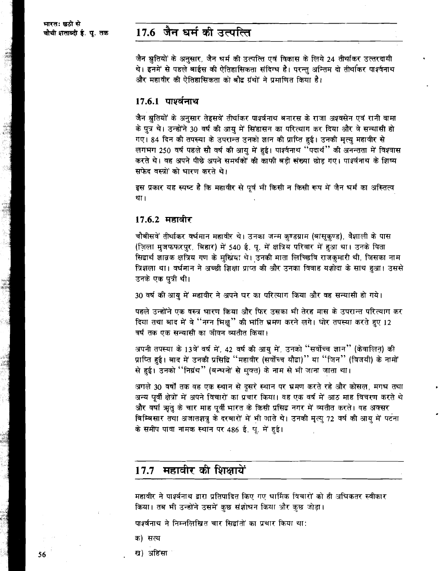## 17.6 जैन धर्म की उत्पत्ति

जैन श्नुतियों के अनुसार, जैन धर्म की उत्पत्ति एवं विकास के लिये 24 तीर्थांकर उत्तरदायी थे। इनमें से पहले बाईस की ऐतिहासिकता संदिग्ध है। परन्तु अन्तिम दो तीर्थांकर पार्श्वनाथ और महावीर की ऐतिहासिकता को बौद्ध ग्रंथों ने प्रमाणित किया है।

#### 17.6.1 पार्श्वनाथ

जैन श्रुतियों के अनुसार तेइसवें तीर्थाकर पार्श्वनाथ बनारस के राजा अश्वसेन एवं रानी वामा के पुत्र थे। उन्होंने 30 वर्ष की आयु में सिंहासन का परित्याग कर दिया और वे सन्यासी हो गए। 84 दिन की तपस्या के उपरान्त उनको ज्ञान की प्राप्ति हुई। उनकी मृत्यु महावीर से लगभग 250 वर्ष पहले सौ वर्ष की आयु में हुई। पार्श्वनाथ "पदार्थ" की अनन्तता में विश्वास करते थे। वह अपने पीछे अपने समर्थकों की काफी बड़ी संख्या छोड़ गए। पार्श्वनाथ के शिष्य सफेद वस्त्रों को धारण करते थे।

इस प्रकार यह स्पष्ट है कि महावीर से पूर्व भी किसी न किसी रूप में जैन धर्म का अस्तित्व था।

#### <u> 17.6.2 महावीर</u>

चौबीसवें तीर्थाकर वर्धमान महावीर थे। उनका जन्म कुण्डग्राम (बासूकुण्ड), वैशाली के पास (जिला मुजफफरपुर, बिहार) में 540 ई. पू. में क्षत्रिय परिवार में हुआ था। उनके पिता सिद्धार्थ ज्ञान्नक क्षत्रिय गण के मुखिया थे। उनकी माता लिच्छिवि राजकुमारी थी, जिसका नाम त्रिशला था। वर्धमान ने अच्छी शिक्षा प्राप्त की और उनका विवाह यशोदा के साथ हुआ। उससे उनके एक पुत्री थी।

30 वर्ष की आयु में महावीर ने अपने घर का परित्याग किया और वह सन्यासी हो गये।

पहले उन्होंने एक वस्त्र धारण किया और फिर उसका भी तेरह मास के उपरान्त परित्याग कर दिया तथा बाद में वे "नग्न भिक्षु" की भांति भ्रमण करने लगे। घोर तपस्या करते हुए 12 वर्ष तक एक सन्यासी का जीवन व्यतीत किया।

अपनी तपस्या के 13वें वर्ष में, 42 वर्ष की आयु में, उनको "सर्वोच्च ज्ञान" (केवालिनु) की प्राप्ति हुई। बाद में उनकी प्रसिद्धि ''महावीर (सर्वोच्च यौद्रा)'' या ''जिन'' (विजयी) के नामों से हुई। उनको ''निग्रंथ'' (बन्धनों से मुक्त) के नाम से भी जाना जाता था।

अगले 30 वर्षों तक वह एक स्थान से दूसरे स्थान पर भ्रमण करते रहे और कोसल, मगध तथा अन्य पूर्वी क्षेत्रों में अपने विचारों का प्रचार किया। वह एक वर्ष में आठ माह विचरण करते थे और वर्षा ऋतु के चार माह पूर्वी भारत के किसी प्रसिद्ध नगर में व्यतीत करते। वह अक्सर बिम्बिसार तथा अजातशत्रु के दरबारों में भी जाते थे। उनकी मृत्यु 72 वर्ष की आयु में पटना के समीप पावा नामक स्थान पर 486 ई. पू. में हुई।

## 17.7 महावीर की शिक्षायें

महावीर ने पार्श्वनाथ द्वारा प्रतिपादित किए गए धार्मिक विचारों को ही अधिकतर स्वीकार किया। तब भी उन्होंने उसमें कुछ संशोधन किया और कुछ जोड़ा।

पार्श्वनाथ ने निम्नलिखित चार सिद्धांतों का प्रचार किया था:

- क) सत्य
- ख) अहिंसा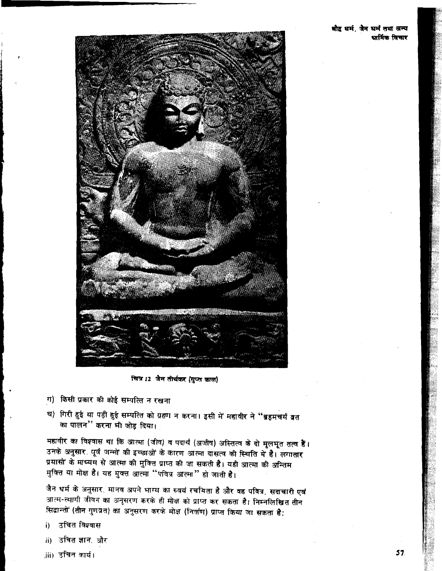

चित्र 12 जैन तीर्थकर (गुप्त काल)

- ग) किसी प्रकार की कोई सम्पत्ति न रखना
- घ) गिरी हुई या पड़ी हुई सम्पत्ति को ग्रहण न करना। इसी में महावीर ने "ब्रहमचर्य व्रत का पालन'' करना भी जोड दिया।

महावीर का विश्वास था कि आत्मा (जीव) व पदार्थ (अजीव) अस्तित्व के दो मूलभूत तत्व हैं। उनके अनुसार, पूर्व जन्मों की इच्छाओं के कारण आत्मा दासत्व की स्थिति में है। लगातार प्रयासों के माध्यम से आत्मा की मुक्ति प्राप्त की जा सकती है। यही आत्मा की अन्तिम मुक्ति या मोक्ष है। यह मुक्त आत्मा "पवित्र आत्मा" हो जाती है।

जैन धर्म के अनुसार, मानव अपने भाग्य का स्वयं रचयिता है और वह पवित्र, सदाचारी एवं आत्म-त्यागी जीवन का अनुसरण करके ही मोक्ष को प्राप्त कर सकता है। निम्नलिखित तीन सिद्धान्तों (तीन गुणत्रत) का अनुसरण करके मोक्ष (निर्वाण) प्राप्त किया जा सकता है:

- उचित विश्वास  $i)$
- ii) उचित ज्ञान, और
- iii) उचित कार्य।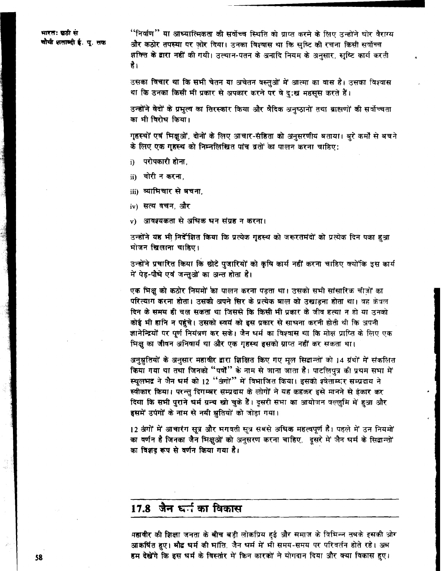भारत: छठी सं चौथी शताब्दी ई. प. तक

''निर्वाण'' या आध्यात्मिकता की सर्वोच्च स्थिति को प्राप्त करने के लिए उन्होंने घोर वैराग्य और कठोर तपस्या पर जोर दिया। उनका विश्वास था कि सुष्टि की रचना किसी सर्वोच्च शक्ति के द्वारा नहीं की गयी। उत्थान-पतन के अनादि नियम के अनुसार, सृष्टि कार्य करती है।

उसका विचार था कि सभी चेतन या अचेतन वस्तुओं में आत्मा का वास है। उसका विश्वास था कि उनका किसी भी प्रकार से अपकार करने पर वे दु:ख महसूस करते हैं।

उन्होंने वेदों के प्रभुत्व का तिरस्कार किया और वैदिक अनुष्ठानों तथा ब्राह्मणों की सर्वोच्चता का भी विरोध किया।

गृहस्थों एवं मिक्षुओं, दोनों के लिए आचार-संहिता को अनुसरणीय बताया। बुरे कर्मों से बचने के लिए एक गुहस्थ को निम्नलिखित पांच व्रतों का पालन करना चाहिए:

- i) परोपकारी होना.
- ii) चोरी न करना.
- iii) व्यामिचार से बचना.
- iv) सत्य वचन, और
- v) आवश्यकता से अधिक धन संग्रह न करना।

उन्होंने यह भी निर्देशित किया कि प्रत्येक गुहस्थ को जरूरतमंदों को प्रत्येक दिन पका हुआ भोजन खिलाना चाहिए।

उन्होंने प्रचारित किया कि छोटे पुजारियों को कृषि कार्य नहीं करना चाहिए क्योंकि इस कार्य में पेड़-पौधे एवं जन्तुओं का अन्त होता है।

एक भिक्षू को कठोर नियमों का पालन करना पड़ता था। उसको सभी सांसारिक चीज़ों का परित्याग करना होता। उसको अपने सिर के प्रत्येक बाल को उखाडना होता था। वह केवल दिन के समय ही चल सकता था जिससे कि किसी भी प्रकार के जीव हत्या न हो या उनको कोई भी हानि न पहुंचे। उसको स्वयं को इस प्रकार से साधना करनी होती थी कि अपनी ज्ञानेन्द्रियों पर पूर्ण नियंत्रण कर सके। जैन धर्म का विश्वास था कि मोक्ष प्राप्ति के लिए एक भिक्षू का जीवन अनिवार्य था और एक गृहस्थ इसको प्राप्त नहीं कर सकता था।

अनुश्रुतियों के अनुसार महावीर द्वारा शिक्षित किए गए मूल सिद्वान्तों को 14 ग्रंथों में संकलित किया गया था तथा जिनको "पर्वों" के नाम से जाना जाता है। पाटलिपुत्र की प्रथम सभा में स्थूलभद्र ने जैन धर्म को 12 "अंगों" में विभाजित किया। इसको श्वेताम्दर सम्प्रदाय ने स्वीकार किया। परन्तु दिगम्बर सम्प्रदाय के लोगों ने यह कहकर इसे मानने से इंकार कर दिया कि सभी पुराने धर्म ग्रन्थ खो चुके हैं। दूसरी सभा का आयोजन वल्लुमि में हुआ और इसमें उपंगों के नाम से नयी श्रुतियों को जोड़ा गया।

12 अंगों में आचारंग सूत्र और भगवती सूत्र सबसे अधिक महत्वपूर्ण है। पहले में उन नियमों का वर्णन है जिनका जैन भिक्षुओं को अनुसरण करना चाहिए, दूसरे में जैन धर्म के सिद्धान्तों का विशद रूप से वर्णन किया गया है।

## 17.8 जैन धर्म का विकास

पहावीर की शिक्षा जनता के बीच बड़ी लोकप्रिय हुई और समाज के विभिन्न तबके इसकी ओर आकर्षित हुए। बौद्ध धर्म की मांति, जैन धर्म में भी समय-समय पर परिवर्तन होते रहे। अब हम देखेंगे कि इस धर्म के विस्तार में किन कारकों ने योगदान दिया और क्या विकास हुए।

58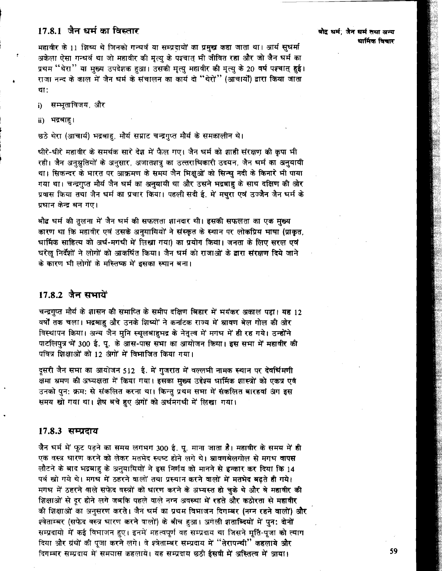#### 17.8.1 जैन धर्म का विस्तार

महावीर के 11 शिष्य थे जिनको गन्धर्व या सम्प्रदायों का प्रमुख कहा जाता था। आर्य सुधर्मा अकेला ऐसा गन्धर्व था जो महावीर की मृत्यु के पश्चातु भी जीवित रहा और जो जैन धर्म का प्रथम "थेरा" या मुख्य उपदेशक हुआ। उसकी मृत्यु महावीर की मृत्यु के 20 वर्ष पश्चात् हुई। राजा नन्द के काल में जैन धर्म के संचालन का कार्य दो "थेरों" (आचार्यों) द्वारा किया जाता था:

सम्भूताविजय, और i)

ii) भद्रबाहु।

छठे थेरा (आचार्य) भद्रबाहु, मौर्य सम्राट चन्द्रगुप्त मौर्य के समकालीन थे।

धीरे-धीरे महावीर के समर्थक सारे देश में फैल गए। जैन धर्म को शाही संरक्षण की कृपा भी रही। जैन अनुश्रुतियों के अनुसार, अजातशत्रू का उत्तराधिकारी उदयन, जैन धर्म का अनुयायी था। सिकन्दर के भारत पर आक्रमण के समय जैन भिक्षुओं को सिन्धु नदी के किनारे भी पाया गया था। चन्द्रगुप्त मौर्य जैन धर्म का अनुयायी था और उसने भद्रबाहु के साथ दक्षिण की ओर प्रवास किया तथा जैन धर्म का प्रचार किया। पहली सदी ई. में मथुरा एवं उज्जैन जैन धर्म के <u>पधान केन्द्र बान गए।</u>

बौद धर्म की तुलना में जैन धर्म की सफलता शानदार थी। इसकी सफलता का एक मुख्य कारण था कि महावीर एवं उसके अनुयायियों ने संस्कृत के स्थान पर लोकप्रिय भाषा (प्राकृत, धार्मिक साहित्य को अर्ध-मगधी में लिखा गया) का प्रयोग किया। जनता के लिए सरल एवं घरेलू निर्देशों ने लोगों को आकर्षित किया। जैन धर्म को राजाओं के द्वारा संरक्षण दिये जाने के कारण भी लोगों के मस्तिष्क में इसका स्थान बना।

#### 17.8.2 जैन सभायें

चन्द्रगुप्त मौर्य के शासन की समाप्ति के समीप दक्षिण बिहार में भयंकर अकाल पड़ा। यह 12 वर्षों तक चला। भद्रबाहु और उनके शिष्यों ने कर्नाटक राज्य में श्रावण बेल गोल की ओर विस्थापन किया। अन्य जैन मुनि स्थूलबाहूभद्र के नेतृत्व में मगध में ही रह गये। उन्होंने पाटलिपुत्र भें 300 ई. पू. के आस-पास सभा का आयोजन किया। इस सभा में महावीर की पवित्र शिक्षाओं को 12 अंगों में विभाजित किया गया।

दूसरी जैन सभा का आयोजन 512 ई. में गुजरात में वल्लभी नामक स्थान पर देवर्धिमणी क्षमा श्रमण की अध्यक्षता में किया गया। इसका मुख्य उद्देश्य धार्मिक शास्त्रों को एकत्र एवं उनको पुन: क्रम: से संकलित करना था। किन्तु प्रथम सभा में संकलित बारहवां अंग इस समय खो गया था। शेष बचे हुए अंगों को अर्धमगधी में लिखा गया।

#### 17.8.3 सम्प्रदाय

जैन धर्म में फूट पड़ने का समय लगभग 300 ई. पू. माना जाता है। महावीर के समय में ही एक वस्त्र धारण करने को लेकर मतभेद स्पष्ट होने लगे थे। श्रावणबेलगोल से मगध वापस लौटने के बाद भद्रबाहु के अनुयायियों ने इस निर्णय को मानने से इन्कार कर दिया कि 14 पर्व खो गये थे। मगध में ठहरने वालों तथा प्रस्थान करने वालों में मतभेद बढ़ते ही गये। मगध में ठहरने वाले सफेद वस्त्रों को धारण करने के अभ्यस्त हो चुके थे और वे महावीर की शिक्षाओं से दूर होने लगे जबकि पहले वाले नग्न अवस्था में रहते और कठोरता से महावीर की शिक्षाओं का अनुसरण करते। जैन धर्म का प्रथम विभाजन दिगम्बर (नग्न रहने वालों) और श्वेताम्बर (सफेद वस्त्र धारण करने वालों) के बीच हुआ। अगली शताब्दियों में पुन: दोनों सम्प्रदायो में कई विभाजन हुए। इनमें महत्वपूर्ण वह सम्प्रदाय था जिसने मूर्ति-पूजा को त्याग दिया और ग्रंथों की पूजा करने लगे। वे श्वेताम्बर सम्प्रदाय में "तेरापन्थी" कहलाये और दिगम्बर सम्प्रदाय में समनास कहलाये। यह सम्प्रदाय छठी ईसवी में अस्तित्व में आया।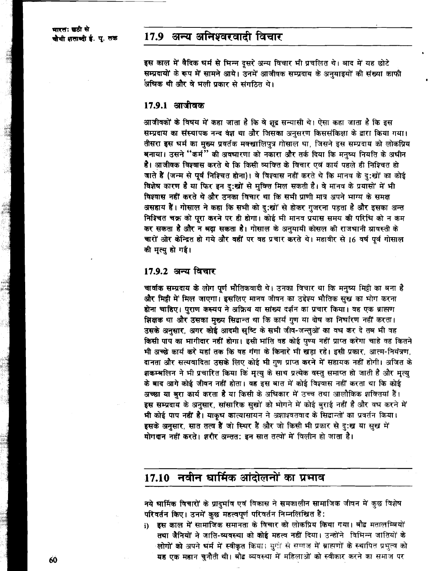## 17.9 अन्य अनिश्वरवादी विचार

इस काल में वैदिक धर्म से भिन्न दुसरे अन्य विचार भी प्रचलित थे। बाद में यह छोटे सम्प्रदायों के रूप में सामने आये। उनमें आजीवक सम्प्रदाय के अनयाडयों की संख्या काफी .<br>अधिक थी और वे भली पकार से संगठित थे।

#### 17.9.1 आजीवक

आजीवकों के विषय में कहा जाता है कि वे शुद्र सन्यासी थे। ऐसा कहा जाता है कि इस सम्प्रदाय का संस्थापक नन्द वंश था और जिसका अनुसरण किससंकिक्षा के द्वारा किया गया। तीसरा इस धर्म का मुख्य प्रवर्तक मक्खालिपुत्र गोसाल था, जिसने इस सम्प्रदाय को लोकप्रिय बनाया। उसने "कर्म" की अवघारणा को नकारा और तर्क दिया कि मनुष्य नियति के अधीन है। आजीवक विश्वास करते थे कि किसी व्यक्ति के विचार एवं कार्य पहले ही निश्चित हो जाते हैं (जन्म से पूर्व निश्चित होना)। वे विश्वास नहीं करते थे कि मानव के द:खों का कोई विशेष कारण है या फिर इन दु:खों से मुक्ति मिल सकती है। वे मानव के प्रयासों में भी विश्वास नहीं करते थे और उनका विचार था कि सभी प्राणी मात्र अपने भाग्य के समक्ष असहाय हैं। गोसाल ने कहा कि सभी को दु:खों से होकर गुजरना पड़ता है और इसका अन्त निश्चित चक्र को पूरा करने पर ही होगा। कोई भी मानव प्रयास समय की परिधि को न कम कर सकता है और न बढ़ा सकता है। गोसाल के अनयायी कोसल की राजधानी श्रावस्ती के चारों ओर केन्द्रित हो गये और वहीं पर वह प्रचार करते थे। महावीर से 16 वर्ष पूर्व गोसाल की मृत्यु हो गई।

### 17.9.2 अन्य विचार

चार्वाक सम्प्रदाय के लोग पूर्ण मौतिकवादी थे। उनका विचार था कि मनुष्य मिट्टी का बना है और मिट्टी में मिल जाएगा। इसलिए मानव जीवन का उद्देश्य भौतिक सुख का भोग करना होना चाहिए। पुराण कस्यप ने अक्रिय या सांख्य दर्शन का प्रचार किया। वह एक ब्राह्मण शिक्षक था और उसका मुख्य सिद्धान्त था कि कार्य गुण या दोष का निर्घारण नहीं करता। उसके अनुसार, अगर कोई आदमी सृष्टि के सभी जीव-जन्तुओं का वध कर दे तब भी वह किसी पाप का भागीदार नहीं होगा। इसी भांति वह कोई पुण्य नहीं प्राप्त करेगा चाहे वह कितने भी अच्छे कार्य करे यहां तक कि वह गंगा के किनारे भी खड़ा रहे। इसी प्रकार, आत्म-नियंत्रण, दानता और सत्यवादिता उसके लिए कोई भी गुण प्राप्त करने में सहायक नहीं होगी। अजित के शकम्बलिन ने भी प्रचारित किया कि मृत्यु के साथ प्रत्येक वस्तु समाप्त हो जाती है और मृत्यु के बाद आगे कोई जीवन नहीं होता। वह इस बात में कोई विश्वास नहीं करता था कि कोई अच्छा या बुरा कार्य करता है या किसी के अधिकार में उच्च तथा आलौकिक शक्तियां हैं। इस सम्प्रदाय के अनुसार, सांसारिक सुखों को भोगने में कोई बुराई नहीं है और वध करने में भी कोई पाप नहीं है। याकृध कात्यासायन ने अशाश्वतवाद के सिद्धान्तों का प्रवर्तन किया। इसके अनुसार, सात तत्व हैं जो स्थिर हैं और जो किसी भी प्रकार से दु:ख या सुख में योगदान नहीं करते। अरीर अन्तत: इन सात तत्वों में विलीन हो जाता है।

## 17.10 नवीन धार्मिक आंदोलनों का प्रभाव

नये धार्मिक विचारों के प्रादुर्भाव एवं विकास ने समकालीन सामाजिक जीवन में कुछ विशेष परिवर्तन किए। उनमें कुछ महत्वपूर्ण परिवर्तन निम्नलिखित हैं:

i) इस काल में सामाजिक समानता के विचार को लोकप्रिय किया गया। बौद मतालम्बियों तया जैनियों ने जाति-व्यवस्था को कोई महत्व नहीं दिया। उन्होंने विभिन्न जातियों के लोगों को अपने घर्म में स्वीकृत किया। युगों से समाज में ब्राह्मणों के स्थापित प्रभुत्व को यह एक महान चुनौती थी। बौद व्यवस्था में महिलाओं को स्वीकार करने का समाज पर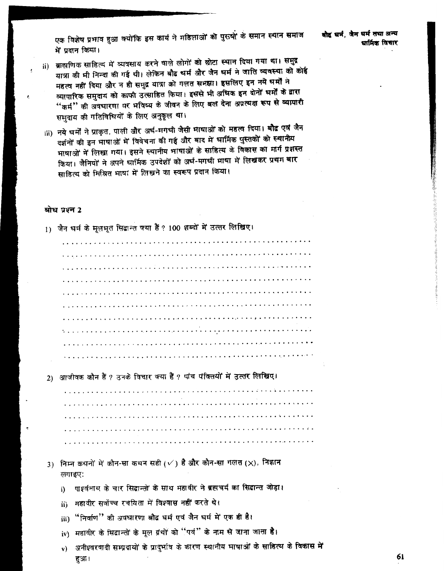एक विशेष प्रभाव हुआ क्योंकि इस कार्य ने महिलाओं को पुरुषों के समान स्थान समाज में प्रदान किया।

- ii) ब्राझणिक साहित्य में व्यवसाय करने वाले लोगों को छोटा स्थान दिया गया था। समुद्र यात्रा की भी निन्दा की गई थी। लेकिन बौद धर्म और जैन धर्म ने जाति व्यवस्था को कोई महत्व नहीं दिया और न ही समुद्र यात्रा को गलत समझा। इसलिए इन नये घर्मों ने व्यापारिक समुदाय को काफी उत्साहित किया। इससे भी अधिक इन दोनों घर्मों के द्वारा "कर्म" की अवधारणा पर मविष्य के जीवन के लिए बल देना अप्रत्यक्ष रूप से व्यापारी समुदाय की गतिविधियों के लिए अनुकूल था।
- iii) नये धर्मों ने प्राकृत, पाली और अर्ध-मगधी जैसी भाषाओं को महत्व दिया। बौद एवं जैन दर्शनों की इन भाषाओं में विवेचना की गई और बाद में धार्मिक पुस्तकों को स्थानीय भाषाओं में लिखा गया। इसने स्थानीय भाषाओं के साहित्य के विकास का मार्ग प्रशस्त किया। जैनियों ने अपने धार्मिक उपदेशों को अर्घ-मगधी माषा में लिखकर प्रथम बार साहित्य को मिश्रित भाषा में लिखने का स्वरूप प्रदान किया।

#### बोध प्रश्न 2

|    | 1) जैन धर्म के मूलभूत सिद्धान्त क्या हैं ? 100 शब्दों में उत्तर लिखिए।                                                                                        |
|----|---------------------------------------------------------------------------------------------------------------------------------------------------------------|
|    |                                                                                                                                                               |
|    |                                                                                                                                                               |
|    |                                                                                                                                                               |
|    |                                                                                                                                                               |
|    |                                                                                                                                                               |
|    |                                                                                                                                                               |
|    |                                                                                                                                                               |
|    |                                                                                                                                                               |
|    |                                                                                                                                                               |
|    |                                                                                                                                                               |
| 2) | आजीवक कौन हैं ? उनके विचार क्या हैं ? पांच पंक्तियों में उत्तर लिखिए।                                                                                         |
|    |                                                                                                                                                               |
|    |                                                                                                                                                               |
|    |                                                                                                                                                               |
|    |                                                                                                                                                               |
|    |                                                                                                                                                               |
|    |                                                                                                                                                               |
|    |                                                                                                                                                               |
| 3) | निम्न कथनों में कौन-सा कथन सही ( $V$ ) है और कौन-सा गलत (X), निशान<br>लगाइए:<br>पार्श्वनाथ के चार सिद्धान्तों के साथ महावीर ने ब्रह्मचर्य का सिद्धान्त जोड़ा। |

- महावीर सर्वोच्च रचयिता में विश्वास नहीं करते थे। ii)
- iii) "निर्वाण'' की अवधारणा बौद धर्म एवं जैन धर्म में एक ही है।
- iv) महावीर के सिद्धान्तों के मूल ग्रंथों को ''पर्व'' के नाम से जाना जाता है।
- अनीश्वरवादी सम्प्रदायों के प्रादुर्भाव के कारण स्थानीय भाषाओं के साहित्य के विकास में  $\mathbf{v}$ हुआ।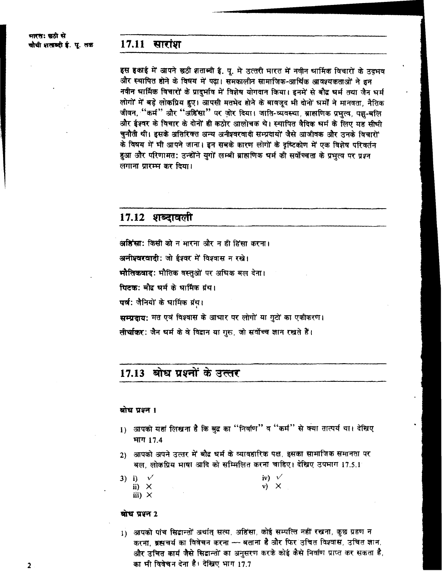## 17.11 सारांश

इस इकाई में आपने छठी शताब्दी ई. पू. मे उत्तरी मारत में नवीन धार्मिक विचारों के उदमव और स्थापित होने के विषय में पढ़ा। समकालीन सामाजिक-आर्थिक आवश्यकताओं ने इन नवीन घार्मिक विचारों के प्रादुर्माव में विशेष योगदान किया। इनमें से बौद्ध घर्म तया जैन धर्म लोगों में बड़े लोकप्रिय हुए। आपसी मतभेद होने के बावजूद भी दोनों घर्मों ने मानवता, नैतिक जीवन, "कर्म" और "अहिंसा" पर जोर दिया। जाति-व्यवस्था, ब्राह्मणिक प्रभुत्व, पशु-बलि और ईश्वर के विचार के दोनों ही कठोर आलोचक थे। स्थापित वैदिक धर्म के लिए यह सीधी चुनौती थी। इसके अतिरिक्त अन्य अनीश्वरवादी सम्प्रदायों जैसे आजीवक और उनके विचारों के विषय में भी आपने जाना। इन सबके कारण लोगों के दृष्टिकोण में एक विशेष परिवर्तन हुआ और परिणामत: उन्होंने युगों लम्बी ब्राह्मणिक घर्म की सर्वोच्चता के प्रभुत्व पर प्रश्न लगाना प्रारम्भ कर दिया।

## 17.12 शब्दावली

अडिंसा: किसी को न मारना और न ही हिंसा करना। अनीश्वरवादी: जो ईश्वर में विश्वास न रखे। भौतिकवाद: भौतिक वस्तुओं पर अधिक बल देना। पिटक: बौद घर्म के घार्मिक ग्रंथ। पर्व: जैनियों के घार्मिक ग्रंथ। सम्प्रदाय: मत एवं विश्वास के आधार पर लोगों या गुटों का एकीकरण। तीर्थांकर: जैन घर्म के वे विद्वान या गुरु, जो सर्वोच्च ज्ञान रखते हैं।

## 17.13 बोध प्रश्नों के उत्तर

#### बोघ प्रश्न ।

- 1) आपको यहां लिखना है कि बुद्र का "निर्वाण" व "कर्म" से क्या तात्पर्य था। देखिए भाग 17.4
- 2) आपको अपने उत्तर में बौद घर्म के व्यावहारिक पक्ष, इसका सामाजिक समानता पर बल, लोकप्रिय भाषा आदि को सम्मिलित करना चाहिए। देखिए उपभाग 17.5.1
- iv)  $\sqrt{ }$ 3) i)  $\sqrt{ }$ ii)  $\times$  $v) \times$ iii)  $\times$

#### बोध प्रश्न 2

1) आपको पांच सिद्धान्तों अर्थात् सत्य, अहिंसा, कोई सम्पत्ति नहीं रखना, कुछ ग्रहण न करना, ब्रह्मचर्य का विवेचन करना -- बताना है और फिर उचित विश्वास, उचित ज्ञान, और उचित कार्य जैसे सिद्दान्तों का अनुसरण करके कोई कैसे निर्वाण प्राप्त कर सकता है, का भी विवेचन देना है। देखिए भाग 17.7

 $\overline{2}$